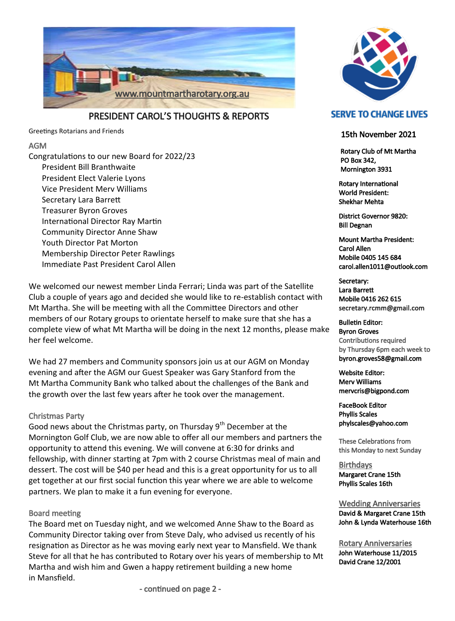

PRESIDENT CAROL'S THOUGHTS & REPORTS

Greetings Rotarians and Friends

### AGM

Congratulations to our new Board for 2022/23 President Bill Branthwaite President Elect Valerie Lyons Vice President Merv Williams Secretary Lara Barrett Treasurer Byron Groves International Director Ray Martin Community Director Anne Shaw Youth Director Pat Morton Membership Director Peter Rawlings Immediate Past President Carol Allen

We welcomed our newest member Linda Ferrari; Linda was part of the Satellite Club a couple of years ago and decided she would like to re-establish contact with Mt Martha. She will be meeting with all the Committee Directors and other members of our Rotary groups to orientate herself to make sure that she has a complete view of what Mt Martha will be doing in the next 12 months, please make her feel welcome.

We had 27 members and Community sponsors join us at our AGM on Monday evening and after the AGM our Guest Speaker was Gary Stanford from the Mt Martha Community Bank who talked about the challenges of the Bank and the growth over the last few years after he took over the management.

### Christmas Party

Good news about the Christmas party, on Thursday  $9<sup>th</sup>$  December at the Mornington Golf Club, we are now able to offer all our members and partners the opportunity to attend this evening. We will convene at 6:30 for drinks and fellowship, with dinner starting at 7pm with 2 course Christmas meal of main and dessert. The cost will be \$40 per head and this is a great opportunity for us to all get together at our first social function this year where we are able to welcome partners. We plan to make it a fun evening for everyone.

### Board meeting

The Board met on Tuesday night, and we welcomed Anne Shaw to the Board as Community Director taking over from Steve Daly, who advised us recently of his resignation as Director as he was moving early next year to Mansfield. We thank Steve for all that he has contributed to Rotary over his years of membership to Mt Martha and wish him and Gwen a happy retirement building a new home in Mansfield.

## **SERVE TO CHANGE LIVES**

#### 15th November 2021

 Rotary Club of Mt Martha PO Box 342, Mornington 3931

Rotary International World President: Shekhar Mehta

District Governor 9820: Bill Degnan

Mount Martha President: Carol Allen Mobile 0405 145 684 carol.allen1011@outlook.com

Secretary: Lara Barrett Mobile 0416 262 615 secretary.rcmm@gmail.com

Bulletin Editor: Byron Groves Contributions required by Thursday 6pm each week to byron.groves58@gmail.com

Website Editor: Merv Williams mervcris@bigpond.com

FaceBook Editor Phyllis Scales phylscales@yahoo.com

These Celebrations from this Monday to next Sunday

**Birthdays** Margaret Crane 15th Phyllis Scales 16th

Wedding Anniversaries David & Margaret Crane 15th John & Lynda Waterhouse 16th

Rotary Anniversaries John Waterhouse 11/2015 David Crane 12/2001

- continued on page 2 -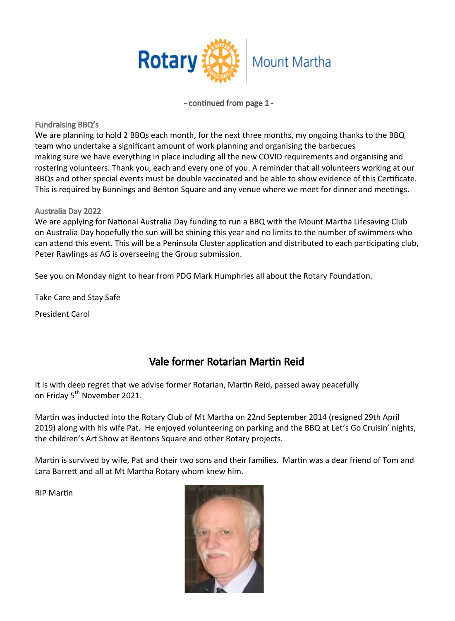

- continued from page 1 -

Fundraising BBQ's

We are planning to hold 2 BBQs each month, for the next three months, my ongoing thanks to the BBQ team who undertake a significant amount of work planning and organising the barbecues making sure we have everything in place including all the new COVID requirements and organising and rostering volunteers. Thank you, each and every one of you. A reminder that all volunteers working at our BBQs and other special events must be double vaccinated and be able to show evidence of this Certificate. This is required by Bunnings and Benton Square and any venue where we meet for dinner and meetings.

## Australia Day 2022

We are applying for National Australia Day funding to run a BBQ with the Mount Martha Lifesaving Club on Australia Day hopefully the sun will be shining this year and no limits to the number of swimmers who can attend this event. This will be a Peninsula Cluster application and distributed to each participating club, Peter Rawlings as AG is overseeing the Group submission.

See you on Monday night to hear from PDG Mark Humphries all about the Rotary Foundation.

Take Care and Stay Safe

President Carol

# Vale former Rotarian Martin Reid

It is with deep regret that we advise former Rotarian, Martin Reid, passed away peacefully on Friday 5<sup>th</sup> November 2021.

Martin was inducted into the Rotary Club of Mt Martha on 22nd September 2014 (resigned 29th April 2019) along with his wife Pat. He enjoyed volunteering on parking and the BBQ at Let's Go Cruisin' nights, the children's Art Show at Bentons Square and other Rotary projects.

Martin is survived by wife, Pat and their two sons and their families. Martin was a dear friend of Tom and Lara Barrett and all at Mt Martha Rotary whom knew him.

RIP Martin

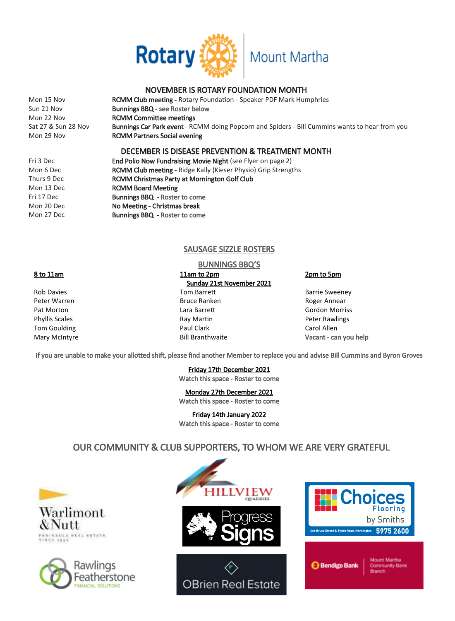

### NOVEMBER IS ROTARY FOUNDATION MONTH

| Mon 15 Nov          | <b>RCMM Club meeting - Rotary Foundation - Speaker PDF Mark Humphries</b>                             |
|---------------------|-------------------------------------------------------------------------------------------------------|
| Sun 21 Nov          | <b>Bunnings BBQ</b> - see Roster below                                                                |
| Mon 22 Nov          | <b>RCMM Committee meetings</b>                                                                        |
| Sat 27 & Sun 28 Nov | <b>Bunnings Car Park event</b> - RCMM doing Popcorn and Spiders - Bill Cummins wants to hear from you |
| Mon 29 Nov          | <b>RCMM Partners Social evening</b>                                                                   |
|                     |                                                                                                       |

#### DECEMBER IS DISEASE PREVENTION & TREATMENT MONTH

| Fri 3 Dec   | <b>End Polio Now Fundraising Movie Night (see Flyer on page 2)</b>    |
|-------------|-----------------------------------------------------------------------|
| Mon 6 Dec   | <b>RCMM Club meeting - Ridge Kally (Kieser Physio) Grip Strengths</b> |
| Thurs 9 Dec | <b>RCMM Christmas Party at Mornington Golf Club</b>                   |
| Mon 13 Dec  | <b>RCMM Board Meeting</b>                                             |
| Fri 17 Dec  | <b>Bunnings BBQ - Roster to come</b>                                  |
| Mon 20 Dec  | No Meeting - Christmas break                                          |
| Mon 27 Dec  | <b>Bunnings BBQ - Roster to come</b>                                  |

#### SAUSAGE SIZZLE ROSTERS

## BUNNINGS BBQ'S

8 to 11am 11am to 2pm 2pm 2pm to 5pm Sunday 21st November 2021 Rob Davies **Tom Barrett** Barrett Barrie Sweeney Peter Warren **Bruce Ranken** Bruce Ranken Roger Annear Pat Morton **Communist Communist Communist Communist Communist Communist Communist Communist Communist Communist Communist Communist Communist Communist Communist Communist Communist Communist Communist Communist Communist** Phyllis Scales **Ray Martin Peter Rawlings** Ray Martin **Peter Rawlings** Tom Goulding **Paul Clark** Carol Allen Carol Allen Mary McIntyre Bill Branthwaite Vacant - can you help

If you are unable to make your allotted shift, please find another Member to replace you and advise Bill Cummins and Byron Groves

Friday 17th December 2021 Watch this space - Roster to come

Monday 27th December 2021 Watch this space - Roster to come

Friday 14th January 2022

Watch this space - Roster to come

# OUR COMMUNITY & CLUB SUPPORTERS, TO WHOM WE ARE VERY GRATEFUL





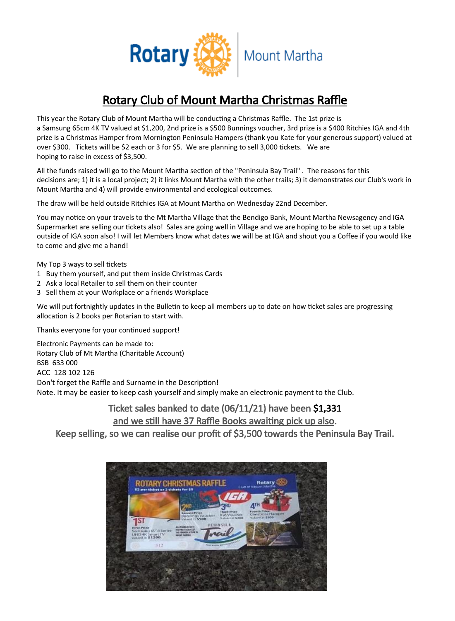

# Rotary Club of Mount Martha Christmas Raffle

This year the Rotary Club of Mount Martha will be conducting a Christmas Raffle. The 1st prize is a Samsung 65cm 4K TV valued at \$1,200, 2nd prize is a \$500 Bunnings voucher, 3rd prize is a \$400 Ritchies IGA and 4th prize is a Christmas Hamper from Mornington Peninsula Hampers (thank you Kate for your generous support) valued at over \$300. Tickets will be \$2 each or 3 for \$5. We are planning to sell 3,000 tickets. We are hoping to raise in excess of \$3,500.

All the funds raised will go to the Mount Martha section of the "Peninsula Bay Trail" . The reasons for this decisions are; 1) it is a local project; 2) it links Mount Martha with the other trails; 3) it demonstrates our Club's work in Mount Martha and 4) will provide environmental and ecological outcomes.

The draw will be held outside Ritchies IGA at Mount Martha on Wednesday 22nd December.

You may notice on your travels to the Mt Martha Village that the Bendigo Bank, Mount Martha Newsagency and IGA Supermarket are selling our tickets also! Sales are going well in Village and we are hoping to be able to set up a table outside of IGA soon also! I will let Members know what dates we will be at IGA and shout you a Coffee if you would like to come and give me a hand!

My Top 3 ways to sell tickets

- 1 Buy them yourself, and put them inside Christmas Cards
- 2 Ask a local Retailer to sell them on their counter
- 3 Sell them at your Workplace or a friends Workplace

We will put fortnightly updates in the Bulletin to keep all members up to date on how ticket sales are progressing allocation is 2 books per Rotarian to start with.

Thanks everyone for your continued support!

Electronic Payments can be made to: Rotary Club of Mt Martha (Charitable Account) BSB 633 000 ACC 128 102 126 Don't forget the Raffle and Surname in the Description! Note. It may be easier to keep cash yourself and simply make an electronic payment to the Club.

# Ticket sales banked to date (06/11/21) have been \$1,331 and we still have 37 Raffle Books awaiting pick up also.

Keep selling, so we can realise our profit of \$3,500 towards the Peninsula Bay Trail.